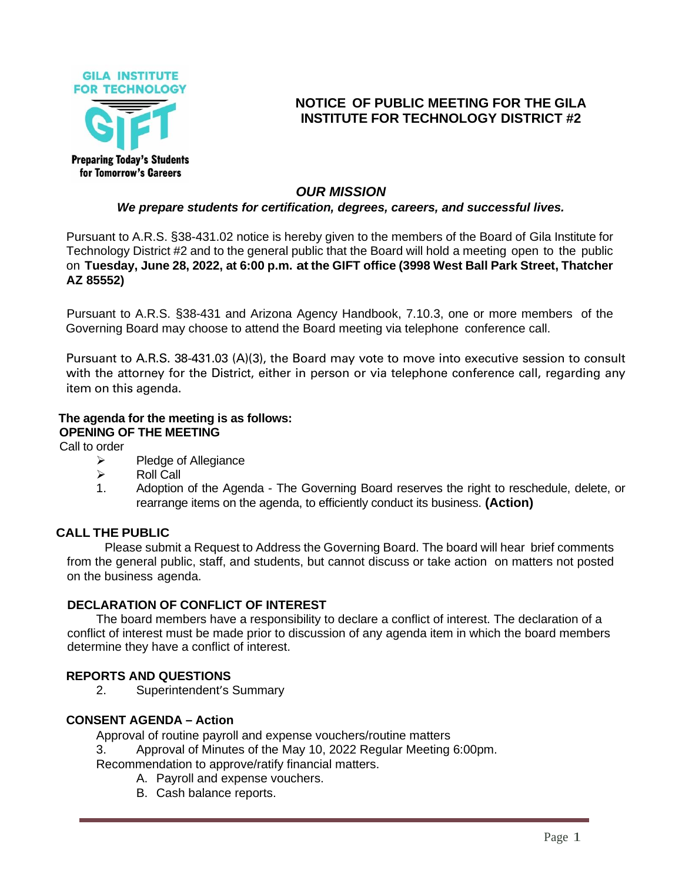

# **NOTICE OF PUBLIC MEETING FOR THE GILA INSTITUTE FOR TECHNOLOGY DISTRICT #2**

# *OUR MISSION*

# *We prepare students for certification, degrees, careers, and successful lives.*

Pursuant to A.R.S. §38-431.02 notice is hereby given to the members of the Board of Gila Institute for Technology District #2 and to the general public that the Board will hold a meeting open to the public on **Tuesday, June 28, 2022, at 6:00 p.m. at the GIFT office (3998 West Ball Park Street, Thatcher AZ 85552)**

Pursuant to A.R.S. §38-431 and Arizona Agency Handbook, 7.10.3, one or more members of the Governing Board may choose to attend the Board meeting via telephone conference call.

Pursuant to A.R.S. 38-431.03 (A)(3), the Board may vote to move into executive session to consult with the attorney for the District, either in person or via telephone conference call, regarding any item on this agenda.

## **The agenda for the meeting is as follows: OPENING OF THE MEETING**

Call to order

- ➢ Pledge of Allegiance
- ➢ Roll Call
- 1. Adoption of the Agenda The Governing Board reserves the right to reschedule, delete, or rearrange items on the agenda, to efficiently conduct its business. **(Action)**

### **CALL THE PUBLIC**

Please submit a Request to Address the Governing Board. The board will hear brief comments from the general public, staff, and students, but cannot discuss or take action on matters not posted on the business agenda.

### **DECLARATION OF CONFLICT OF INTEREST**

The board members have a responsibility to declare a conflict of interest. The declaration of a conflict of interest must be made prior to discussion of any agenda item in which the board members determine they have a conflict of interest.

### **REPORTS AND QUESTIONS**

2. Superintendent's Summary

#### **CONSENT AGENDA – Action**

Approval of routine payroll and expense vouchers/routine matters

3. Approval of Minutes of the May 10, 2022 Regular Meeting 6:00pm.

Recommendation to approve/ratify financial matters.

- A. Payroll and expense vouchers.
- B. Cash balance reports.